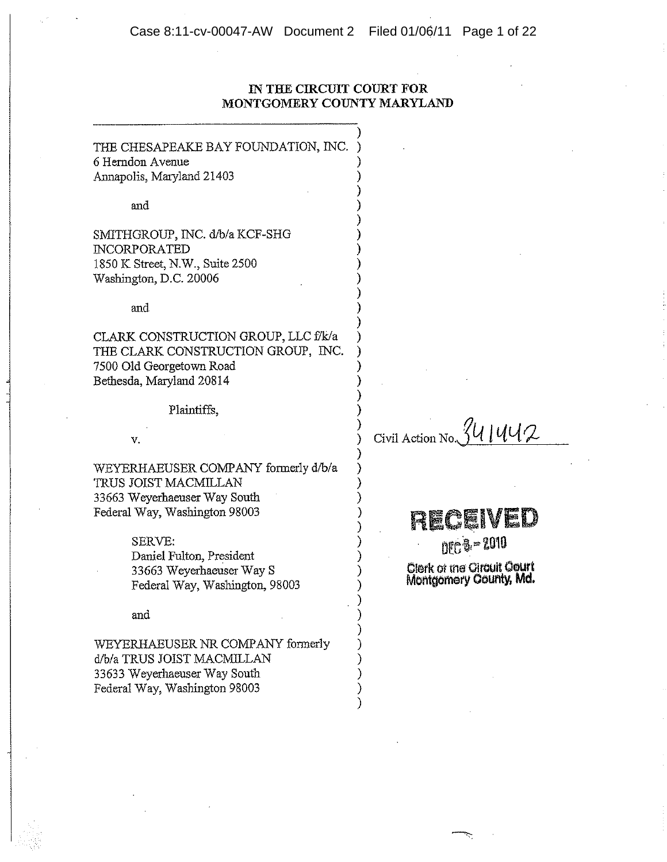## IN THE CIRCUIT COURT FOR MONTGOMERY COUNTY MARYLAND

THE CHESAPEAKE BAY FOUNDATION, INC. 6 Herndon Avenue Annapolis, Maryland 21403

and

SMITHGROUP, INC. d/b/a KCF-SHG **INCORPORATED** 1850 K Street, N.W., Suite 2500 Washington, D.C. 20006

and

CLARK CONSTRUCTION GROUP, LLC f/k/a THE CLARK CONSTRUCTION GROUP, INC. 7500 Old Georgetown Road Bethesda, Maryland 20814

Plaintiffs.

v.

WEYERHAEUSER COMPANY formerly d/b/a TRUS JOIST MACMILLAN 33663 Weyerhaeuser Way South Federal Way, Washington 98003

> SERVE: Daniel Fulton, President 33663 Weyerhaeuser Way S Federal Way, Washington, 98003

and

WEYERHAEUSER NR COMPANY formerly d/b/a TRUS JOIST MACMILLAN 33633 Weyerhaeuser Way South Federal Way, Washington 98003

841442 Civil Action No.

RICEIVED

**DEC 8-2010** Clerk of the Circuit Court Montgomery County, Md.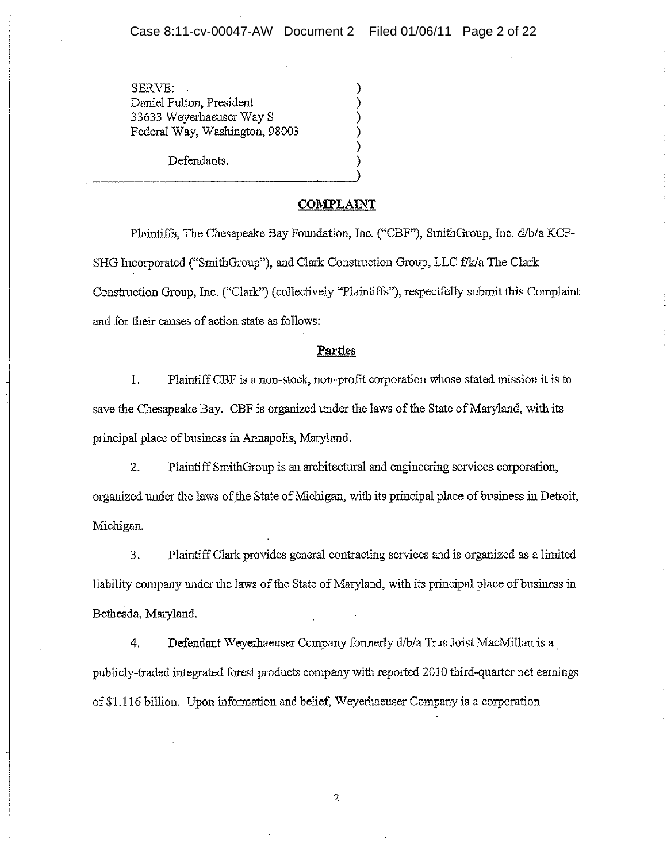SERVE: Daniel Fulton, President 33633 Weyerhaeuser Way S Federal Way, Washington, 98003

Defendants.

### **COMPLAINT**

Plaintiffs, The Chesapeake Bay Foundation, Inc. ("CBF"), SmithGroup, Inc. d/b/a KCF-SHG Incorporated ("SmithGroup"), and Clark Construction Group, LLC f/k/a The Clark Construction Group, Inc. ("Clark") (collectively "Plaintiffs"), respectfully submit this Complaint and for their causes of action state as follows:

#### Parties

1. Plaintiff CBF is a non-stock, non-profit corporation whose stated mission it is to save the Chesapeake Bay. CBF is organized under the laws of the State of Maryland, with its principal place of business in Annapolis, Maryland.

 $\overline{2}$ . Plaintiff SmithGroup is an architectural and engineering services corporation, organized under the laws of the State of Michigan, with its principal place of business in Detroit, Michigan.

3. Plaintiff Clark provides general contracting services and is organized as a limited liability company under the laws of the State of Maryland, with its principal place of business in Bethesda, Maryland.

Defendant Weyerhaeuser Company formerly d/b/a Trus Joist MacMillan is a  $\overline{4}$ . publicly-traded integrated forest products company with reported 2010 third-quarter net earnings of \$1.116 billion. Upon information and belief, Weyerhaeuser Company is a corporation

 $\sqrt{2}$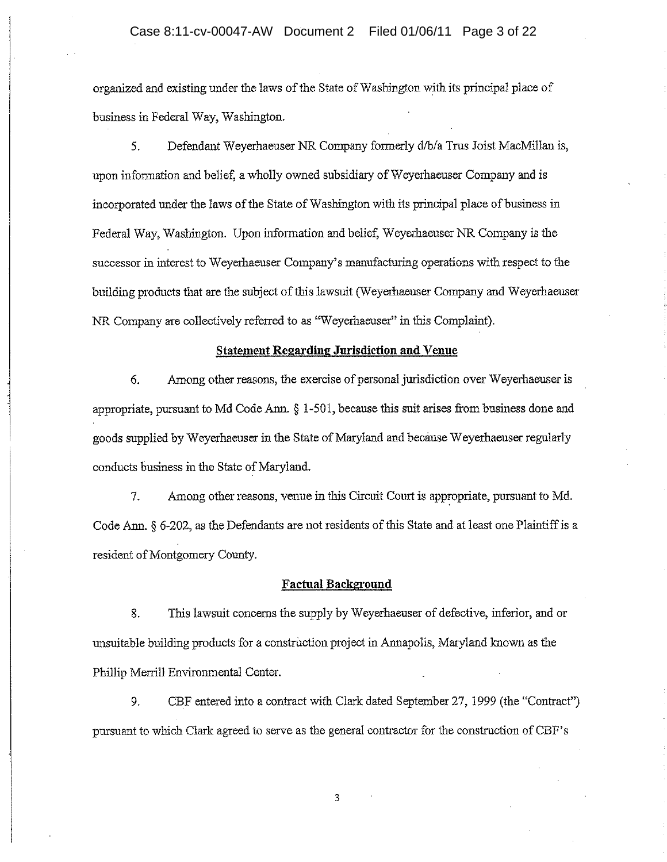organized and existing under the laws of the State of Washington with its principal place of business in Federal Way, Washington.

Defendant Weyerhaeuser NR Company formerly d/b/a Trus Joist MacMillan is, 5. upon information and belief, a wholly owned subsidiary of Weyerhaeuser Company and is incorporated under the laws of the State of Washington with its principal place of business in Federal Way, Washington. Upon information and belief, Weyerhaeuser NR Company is the successor in interest to Weyerhaeuser Company's manufacturing operations with respect to the building products that are the subject of this lawsuit (Weyerhaeuser Company and Weyerhaeuser NR Company are collectively referred to as "Weyerhaeuser" in this Complaint).

#### **Statement Regarding Jurisdiction and Venue**

6. Among other reasons, the exercise of personal jurisdiction over Weyerhaeuser is appropriate, pursuant to Md Code Ann. § 1-501, because this suit arises from business done and goods supplied by Weyerhaeuser in the State of Maryland and because Weyerhaeuser regularly conducts business in the State of Maryland.

7. Among other reasons, venue in this Circuit Court is appropriate, pursuant to Md. Code Ann. § 6-202, as the Defendants are not residents of this State and at least one Plaintiff is a resident of Montgomery County.

#### **Factual Background**

8. This lawsuit concerns the supply by Weyerhaeuser of defective, inferior, and or unsuitable building products for a construction project in Annapolis, Maryland known as the Phillip Merrill Environmental Center.

9. CBF entered into a contract with Clark dated September 27, 1999 (the "Contract") pursuant to which Clark agreed to serve as the general contractor for the construction of CBF's

 $\overline{3}$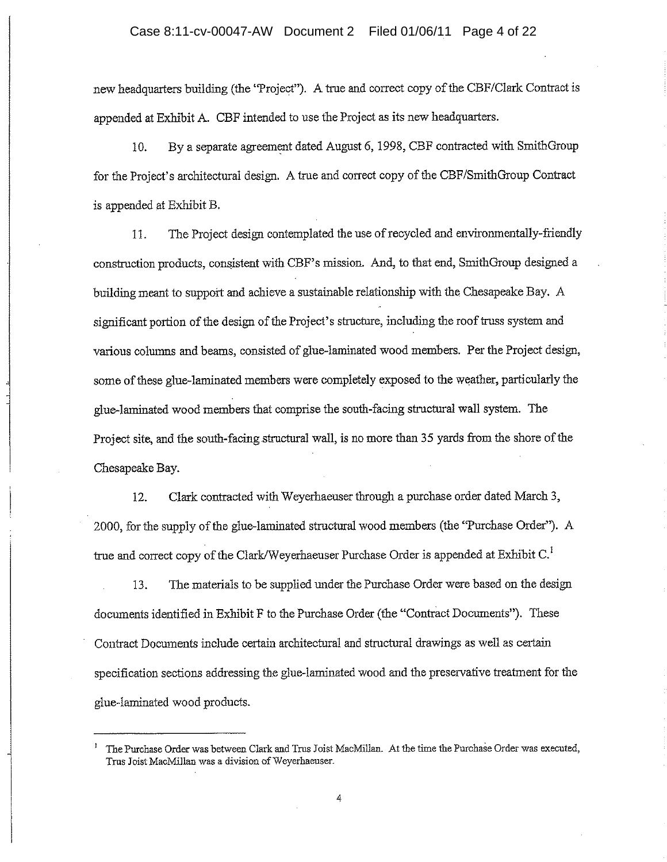### Case 8:11-cv-00047-AW Document 2 Filed 01/06/11 Page 4 of 22

new headquarters building (the 'Project''). A true and correct copy of the CBF/Clark Contract is appended at Exhibit A. CBF intended to use the Project as its new headquarters.

By a separate agreement dated August 6, 1998, CBF contracted with SmithGroup  $10.$ for the Project's architectural design. A true and correct copy of the CBF/SmithGroup Contract is appended at Exhibit B.

The Project design contemplated the use of recycled and environmentally-friendly 11. construction products, consistent with CBF's mission. And, to that end, SmithGroup designed a building meant to support and achieve a sustainable relationship with the Chesapeake Bay. A significant portion of the design of the Project's structure, including the roof truss system and various columns and beams, consisted of glue-laminated wood members. Per the Project design, some of these glue-laminated members were completely exposed to the weather, particularly the glue-laminated wood members that comprise the south-facing structural wall system. The Project site, and the south-facing structural wall, is no more than 35 yards from the shore of the Chesapeake Bay.

Clark contracted with Weyerhaeuser through a purchase order dated March 3, 12. 2000, for the supply of the glue-laminated structural wood members (the "Purchase Order"). A true and correct copy of the Clark/Weyerhaeuser Purchase Order is appended at Exhibit C.<sup>1</sup>

The materials to be supplied under the Purchase Order were based on the design 13. documents identified in Exhibit F to the Purchase Order (the "Contract Documents"). These Contract Documents include certain architectural and structural drawings as well as certain specification sections addressing the glue-laminated wood and the preservative treatment for the glue-laminated wood products.

The Purchase Order was between Clark and Trus Joist MacMillan. At the time the Purchase Order was executed, Trus Joist MacMillan was a division of Weyerhaeuser.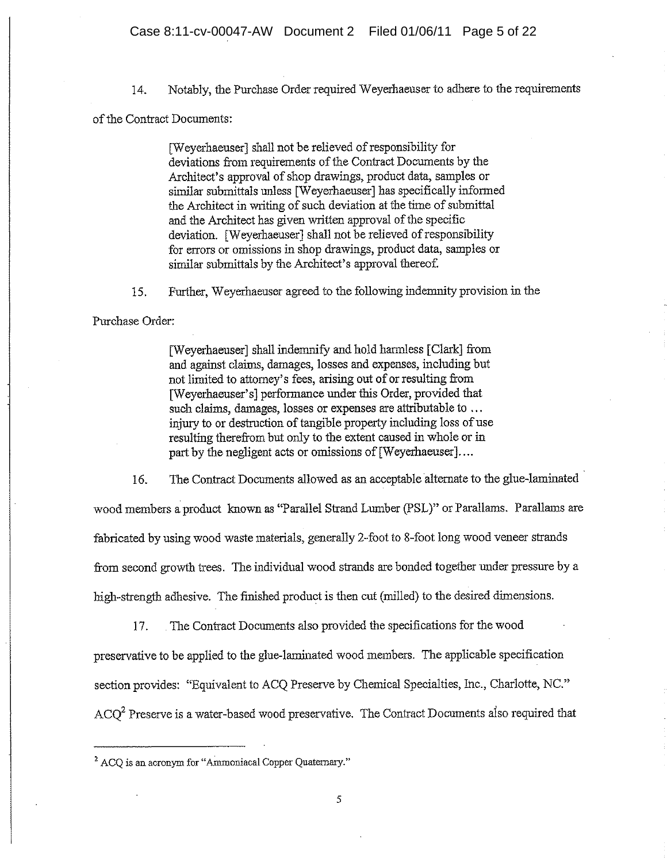Notably, the Purchase Order required Weyerhaeuser to adhere to the requirements 14.

of the Contract Documents:

[Weverhaeuser] shall not be relieved of responsibility for deviations from requirements of the Contract Documents by the Architect's approval of shop drawings, product data, samples or similar submittals unless [Weyerhaeuser] has specifically informed the Architect in writing of such deviation at the time of submittal and the Architect has given written approval of the specific deviation. [Weyerhaeuser] shall not be relieved of responsibility for errors or omissions in shop drawings, product data, samples or similar submittals by the Architect's approval thereof.

Further, Weverhaeuser agreed to the following indemnity provision in the 15.

Purchase Order:

[Weyerhaeuser] shall indemnify and hold harmless [Clark] from and against claims, damages, losses and expenses, including but not limited to attorney's fees, arising out of or resulting from [Weyerhaeuser's] performance under this Order, provided that such claims, damages, losses or expenses are attributable to ... injury to or destruction of tangible property including loss of use resulting therefrom but only to the extent caused in whole or in part by the negligent acts or omissions of [Weyerhaeuser]....

16. The Contract Documents allowed as an acceptable alternate to the glue-laminated

wood members a product known as "Parallel Strand Lumber (PSL)" or Parallams. Parallams are fabricated by using wood waste materials, generally 2-foot to 8-foot long wood veneer strands from second growth trees. The individual wood strands are bonded together under pressure by a high-strength adhesive. The finished product is then cut (milled) to the desired dimensions.

The Contract Documents also provided the specifications for the wood 17. preservative to be applied to the glue-laminated wood members. The applicable specification section provides: "Equivalent to ACQ Preserve by Chemical Specialties, Inc., Charlotte, NC."  $ACO<sup>2</sup>$  Preserve is a water-based wood preservative. The Contract Documents also required that

<sup>&</sup>lt;sup>2</sup> ACO is an acronym for "Ammoniacal Copper Quaternary."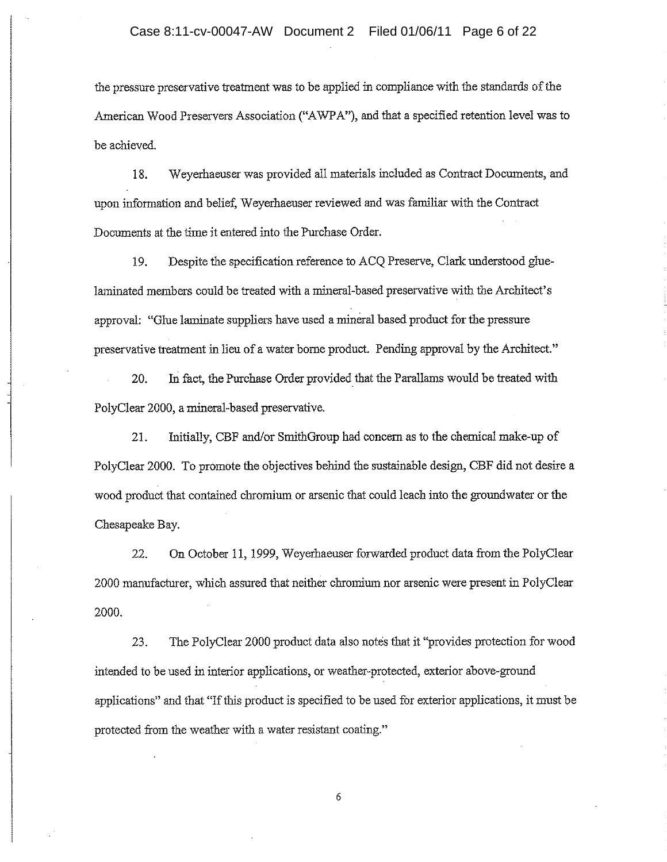the pressure preservative treatment was to be applied in compliance with the standards of the American Wood Preservers Association ("AWPA"), and that a specified retention level was to be achieved.

Weyerhaeuser was provided all materials included as Contract Documents, and 18. upon information and belief, Weyerhaeuser reviewed and was familiar with the Contract Documents at the time it entered into the Purchase Order.

Despite the specification reference to ACQ Preserve, Clark understood glue-19. laminated members could be treated with a mineral-based preservative with the Architect's approval: "Glue laminate suppliers have used a mineral based product for the pressure preservative treatment in lieu of a water borne product. Pending approval by the Architect."

In fact, the Purchase Order provided that the Parallams would be treated with 20. PolyClear 2000, a mineral-based preservative.

Initially, CBF and/or SmithGroup had concern as to the chemical make-up of 21. PolyClear 2000. To promote the objectives behind the sustainable design, CBF did not desire a wood product that contained chromium or arsenic that could leach into the groundwater or the Chesapeake Bay.

22. On October 11, 1999, Weyerhaeuser forwarded product data from the PolyClear 2000 manufacturer, which assured that neither chromium nor arsenic were present in PolyClear 2000.

23. The PolyClear 2000 product data also notes that it "provides protection for wood intended to be used in interior applications, or weather-protected, exterior above-ground applications" and that "If this product is specified to be used for exterior applications, it must be protected from the weather with a water resistant coating."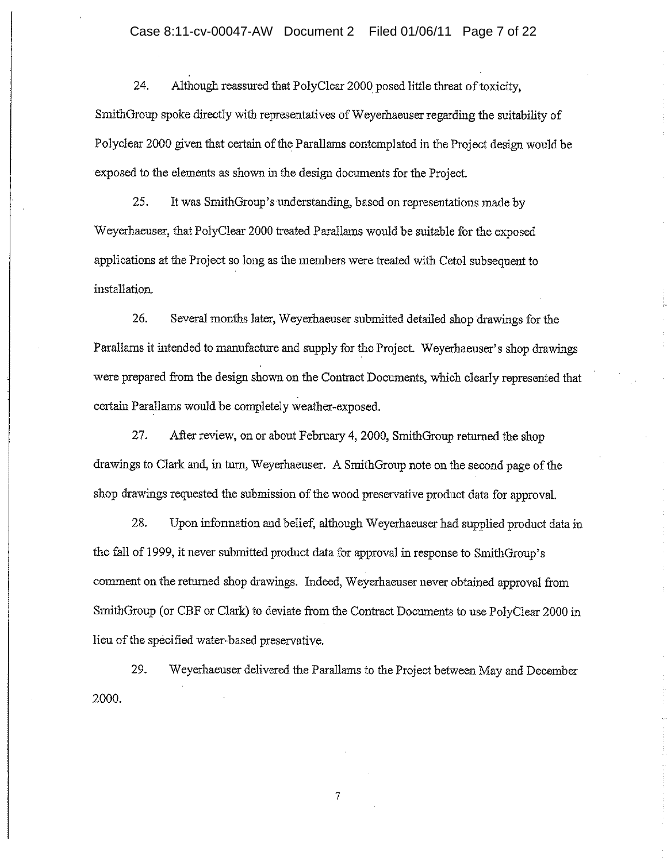Although reassured that PolyClear 2000 posed little threat of toxicity, 24. SmithGroup spoke directly with representatives of Weyerhaeuser regarding the suitability of Polyclear 2000 given that certain of the Parallams contemplated in the Project design would be exposed to the elements as shown in the design documents for the Project.

25. It was SmithGroup's understanding, based on representations made by Weyerhaeuser, that PolyClear 2000 treated Parallams would be suitable for the exposed applications at the Project so long as the members were treated with Cetol subsequent to installation.

26. Several months later, Weyerhaeuser submitted detailed shop drawings for the Parallams it intended to manufacture and supply for the Project. Weyerhaeuser's shop drawings were prepared from the design shown on the Contract Documents, which clearly represented that certain Parallams would be completely weather-exposed.

27. After review, on or about February 4, 2000, SmithGroup returned the shop drawings to Clark and, in turn, Weyerhaeuser. A SmithGroup note on the second page of the shop drawings requested the submission of the wood preservative product data for approval.

28. Upon information and belief, although Weyerhaeuser had supplied product data in the fall of 1999, it never submitted product data for approval in response to SmithGroup's comment on the returned shop drawings. Indeed, Weyerhaeuser never obtained approval from SmithGroup (or CBF or Clark) to deviate from the Contract Documents to use PolyClear 2000 in lieu of the specified water-based preservative.

Weyerhaeuser delivered the Parallams to the Project between May and December 29. 2000.

 $\tau$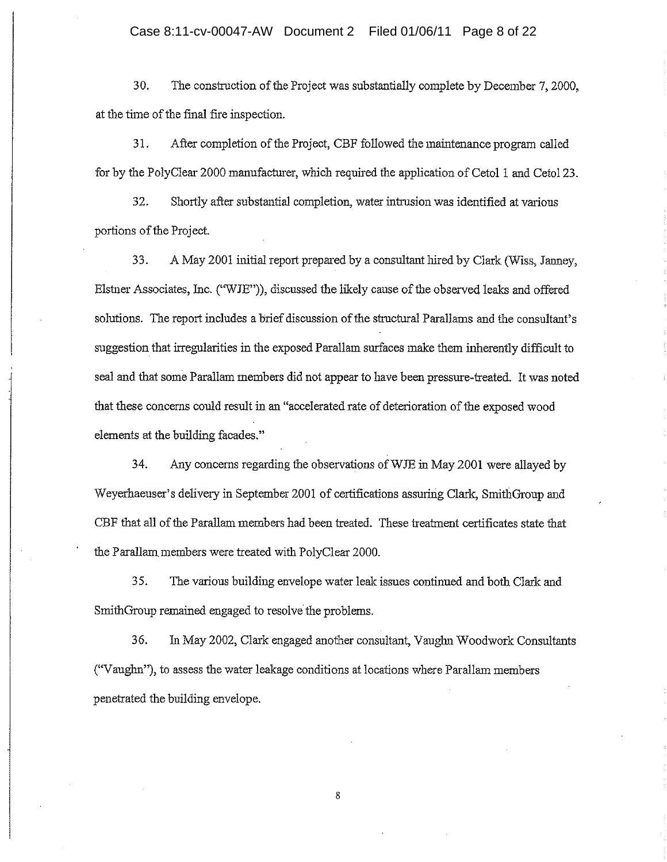30. The construction of the Project was substantially complete by December 7, 2000, at the time of the final fire inspection.

31. After completion of the Project, CBF followed the maintenance program called for by the PolyClear 2000 manufacturer, which required the application of Cetol 1 and Cetol 23.

32. Shortly after substantial completion, water intrusion was identified at various portions of the Project.

33. A May 2001 initial report prepared by a consultant hired by Clark (Wiss, Janney, Elstner Associates, Inc. ("WJE")), discussed the likely cause of the observed leaks and offered solutions. The report includes a brief discussion of the structural Parallams and the consultant's suggestion that irregularities in the exposed Parallam surfaces make them inherently difficult to seal and that some Parallam members did not appear to have been pressure-treated. It was noted that these concerns could result in an "accelerated rate of deterioration of the exposed wood elements at the building facades."

34. Any concerns regarding the observations of WJE in May 2001 were allayed by Weyerhaeuser's delivery in September 2001 of certifications assuring Clark, SmithGroup and CBF that all of the Parallam members had been treated. These treatment certificates state that the Parallam members were treated with PolyClear 2000.

35. The various building envelope water leak issues continued and both Clark and SmithGroup remained engaged to resolve the problems.

36. In May 2002, Clark engaged another consultant, Vaughn Woodwork Consultants ("Vaughn"), to assess the water leakage conditions at locations where Parallam members penetrated the building envelope.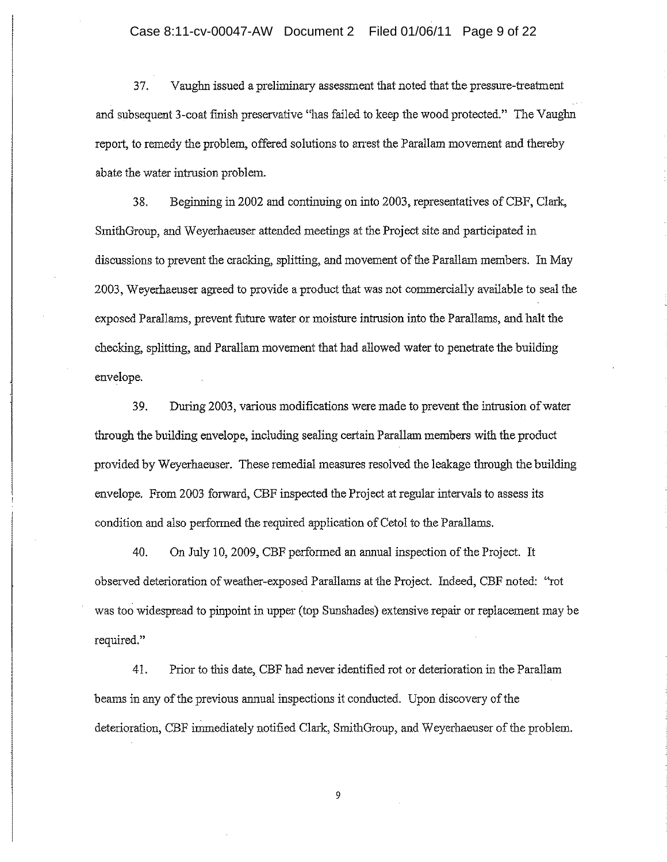## Case 8:11-cv-00047-AW Document 2 Filed 01/06/11 Page 9 of 22

37. Vaughn issued a preliminary assessment that noted that the pressure-treatment and subsequent 3-coat finish preservative "has failed to keep the wood protected." The Vaughn report, to remedy the problem, offered solutions to arrest the Parallam movement and thereby abate the water intrusion problem.

38. Beginning in 2002 and continuing on into 2003, representatives of CBF, Clark, SmithGroup, and Weyerhaeuser attended meetings at the Project site and participated in discussions to prevent the cracking, splitting, and movement of the Parallam members. In May 2003. Weyerhaeuser agreed to provide a product that was not commercially available to seal the exposed Parallams, prevent future water or moisture intrusion into the Parallams, and halt the checking, splitting, and Parallam movement that had allowed water to penetrate the building envelope.

During 2003, various modifications were made to prevent the intrusion of water 39. through the building envelope, including sealing certain Parallam members with the product provided by Weyerhaeuser. These remedial measures resolved the leakage through the building envelope. From 2003 forward, CBF inspected the Project at regular intervals to assess its condition and also performed the required application of Cetol to the Parallams.

40. On July 10, 2009, CBF performed an annual inspection of the Project. It observed deterioration of weather-exposed Parallams at the Project. Indeed, CBF noted: "rot was too widespread to pinpoint in upper (top Sunshades) extensive repair or replacement may be required."

Prior to this date, CBF had never identified rot or deterioration in the Parallam 41. beams in any of the previous annual inspections it conducted. Upon discovery of the deterioration, CBF immediately notified Clark, SmithGroup, and Weyerhaeuser of the problem.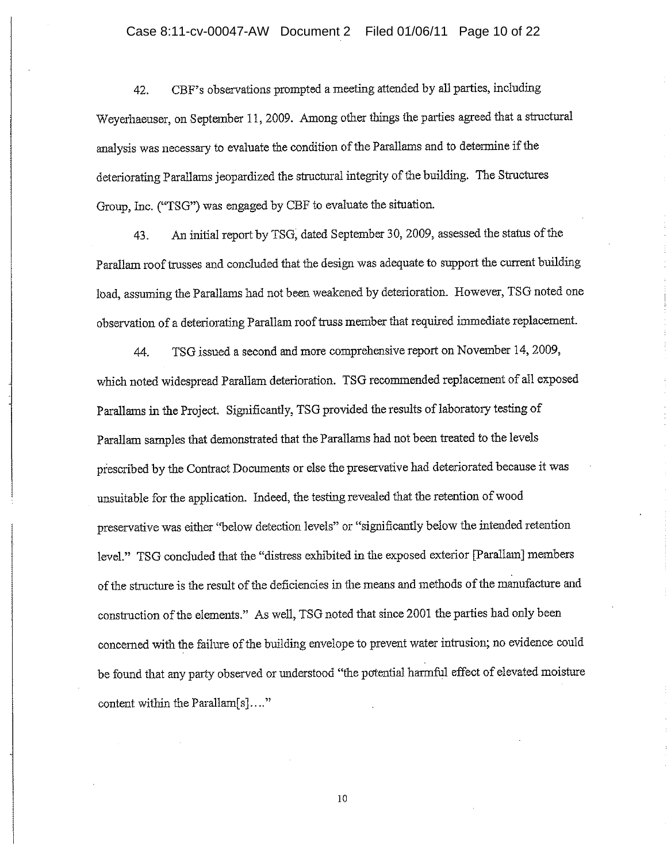CBF's observations prompted a meeting attended by all parties, including 42. Weyerhaeuser, on September 11, 2009. Among other things the parties agreed that a structural analysis was necessary to evaluate the condition of the Parallams and to determine if the deteriorating Parallams jeopardized the structural integrity of the building. The Structures Group, Inc. ("TSG") was engaged by CBF to evaluate the situation.

An initial report by TSG, dated September 30, 2009, assessed the status of the 43. Parallam roof trusses and concluded that the design was adequate to support the current building load, assuming the Parallams had not been weakened by deterioration. However, TSG noted one observation of a deteriorating Parallam roof truss member that required immediate replacement.

TSG issued a second and more comprehensive report on November 14, 2009, 44. which noted widespread Parallam deterioration. TSG recommended replacement of all exposed Parallams in the Project. Significantly, TSG provided the results of laboratory testing of Parallam samples that demonstrated that the Parallams had not been treated to the levels prescribed by the Contract Documents or else the preservative had deteriorated because it was unsuitable for the application. Indeed, the testing revealed that the retention of wood preservative was either "below detection levels" or "significantly below the intended retention level." TSG concluded that the "distress exhibited in the exposed exterior [Parallam] members of the structure is the result of the deficiencies in the means and methods of the manufacture and construction of the elements." As well, TSG noted that since 2001 the parties had only been concerned with the failure of the building envelope to prevent water intrusion; no evidence could be found that any party observed or understood "the potential harmful effect of elevated moisture content within the Parallam[s]...."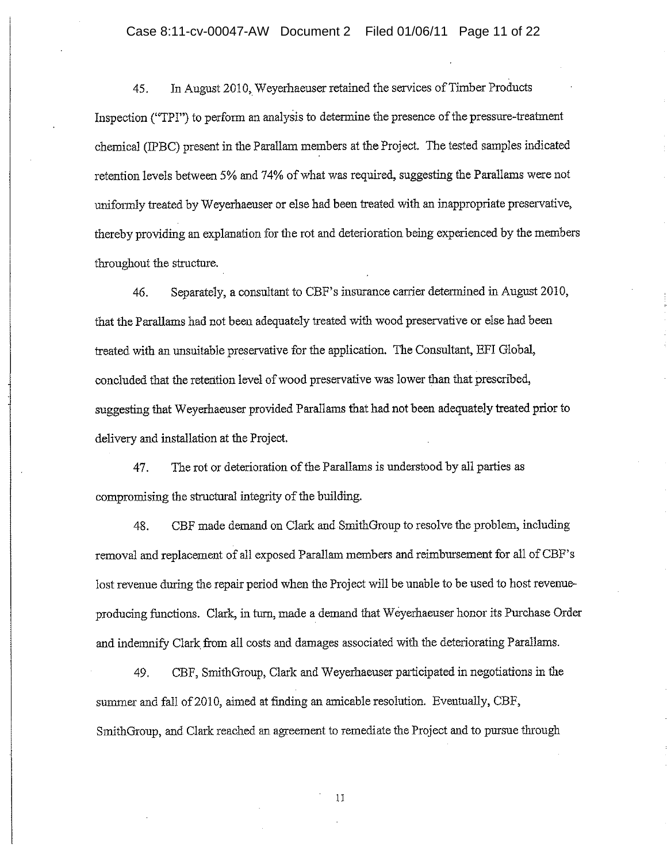In August 2010, Weyerhaeuser retained the services of Timber Products 45. Inspection ("TPI") to perform an analysis to determine the presence of the pressure-treatment chemical (IPBC) present in the Parallam members at the Project. The tested samples indicated retention levels between 5% and 74% of what was required, suggesting the Parallams were not uniformly treated by Weyerhaeuser or else had been treated with an inappropriate preservative, thereby providing an explanation for the rot and deterioration being experienced by the members throughout the structure.

Separately, a consultant to CBF's insurance carrier determined in August 2010, 46. that the Parallams had not been adequately treated with wood preservative or else had been treated with an unsuitable preservative for the application. The Consultant, EFI Global, concluded that the retention level of wood preservative was lower than that prescribed, suggesting that Weyerhaeuser provided Parallams that had not been adequately treated prior to delivery and installation at the Project.

47. The rot or deterioration of the Parallams is understood by all parties as compromising the structural integrity of the building.

CBF made demand on Clark and SmithGroup to resolve the problem, including 48. removal and replacement of all exposed Parallam members and reimbursement for all of CBF's lost revenue during the repair period when the Project will be unable to be used to host revenueproducing functions. Clark, in turn, made a demand that Weyerhaeuser honor its Purchase Order and indemnify Clark from all costs and damages associated with the deteriorating Parallams.

CBF, SmithGroup, Clark and Weyerhaeuser participated in negotiations in the 49. summer and fall of 2010, aimed at finding an amicable resolution. Eventually, CBF, SmithGroup, and Clark reached an agreement to remediate the Project and to pursue through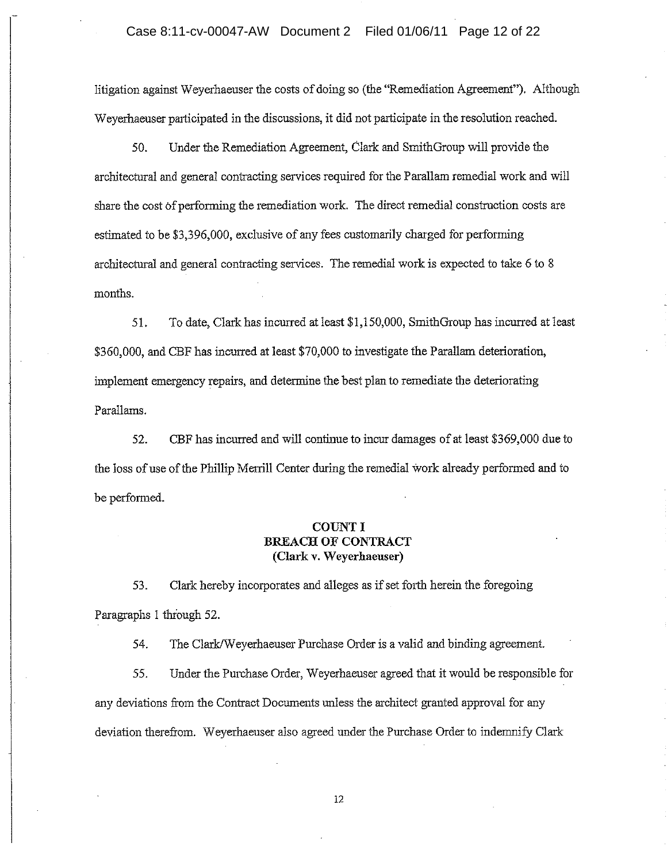litigation against Weyerhaeuser the costs of doing so (the "Remediation Agreement"). Although Weverhaeuser participated in the discussions, it did not participate in the resolution reached.

50. Under the Remediation Agreement, Clark and SmithGroup will provide the architectural and general contracting services required for the Parallam remedial work and will share the cost of performing the remediation work. The direct remedial construction costs are estimated to be \$3,396,000, exclusive of any fees customarily charged for performing architectural and general contracting services. The remedial work is expected to take 6 to 8 months.

To date, Clark has incurred at least \$1,150,000, SmithGroup has incurred at least 51. \$360,000, and CBF has incurred at least \$70,000 to investigate the Parallam deterioration, implement emergency repairs, and determine the best plan to remediate the deteriorating Parallams.

52. CBF has incurred and will continue to incur damages of at least \$369,000 due to the loss of use of the Phillip Merrill Center during the remedial work already performed and to be performed.

# **COUNT I BREACH OF CONTRACT** (Clark v. Weyerhaeuser)

53. Clark hereby incorporates and alleges as if set forth herein the foregoing Paragraphs 1 through 52.

54. The Clark/Weyerhaeuser Purchase Order is a valid and binding agreement.

Under the Purchase Order, Weyerhaeuser agreed that it would be responsible for 55. any deviations from the Contract Documents unless the architect granted approval for any deviation therefrom. Weyerhaeuser also agreed under the Purchase Order to indemnify Clark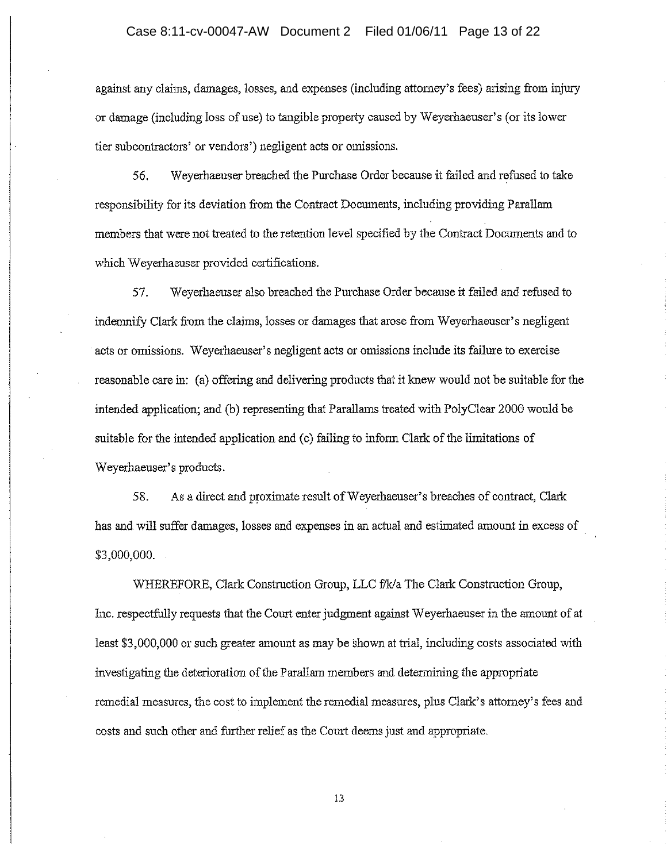against any claims, damages, losses, and expenses (including attorney's fees) arising from injury or damage (including loss of use) to tangible property caused by Weyerhaeuser's (or its lower tier subcontractors' or vendors') negligent acts or omissions.

56. Weverhaeuser breached the Purchase Order because it failed and refused to take responsibility for its deviation from the Contract Documents, including providing Parallam members that were not treated to the retention level specified by the Contract Documents and to which Weyerhaeuser provided certifications.

Weyerhaeuser also breached the Purchase Order because it failed and refused to 57. indemnify Clark from the claims, losses or damages that arose from Weyerhaeuser's negligent acts or omissions. Weyerhaeuser's negligent acts or omissions include its failure to exercise reasonable care in: (a) offering and delivering products that it knew would not be suitable for the intended application; and (b) representing that Parallams treated with PolyClear 2000 would be suitable for the intended application and (c) failing to inform Clark of the limitations of Weyerhaeuser's products.

58. As a direct and proximate result of Weyerhaeuser's breaches of contract, Clark has and will suffer damages, losses and expenses in an actual and estimated amount in excess of \$3,000,000.

WHEREFORE, Clark Construction Group, LLC f/k/a The Clark Construction Group, Inc. respectfully requests that the Court enter judgment against Weyerhaeuser in the amount of at least \$3,000,000 or such greater amount as may be shown at trial, including costs associated with investigating the deterioration of the Parallam members and determining the appropriate remedial measures, the cost to implement the remedial measures, plus Clark's attorney's fees and costs and such other and further relief as the Court deems just and appropriate.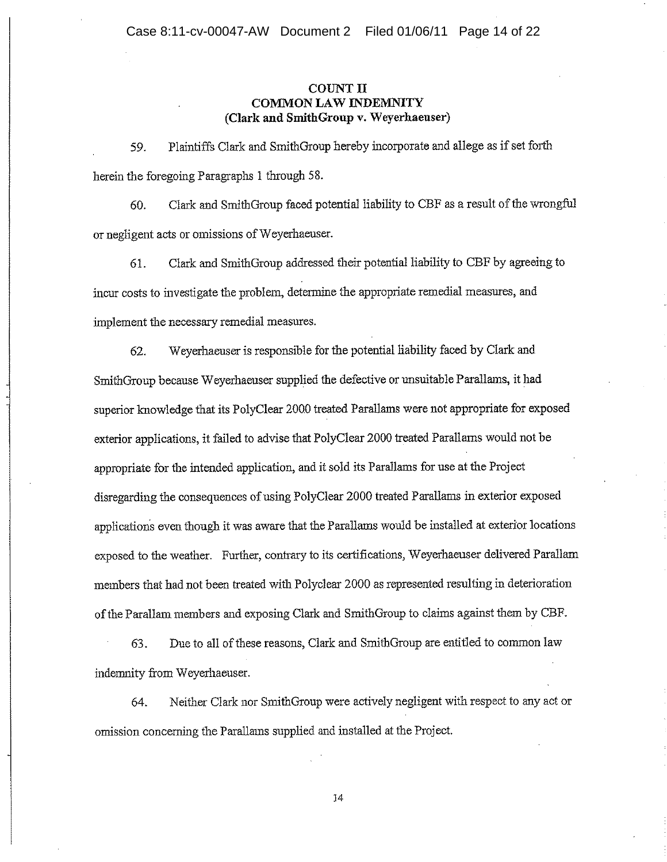### **COUNT II COMMON LAW INDEMNITY** (Clark and SmithGroup v. Weyerhaeuser)

Plaintiffs Clark and SmithGroup hereby incorporate and allege as if set forth 59. herein the foregoing Paragraphs 1 through 58.

Clark and SmithGroup faced potential liability to CBF as a result of the wrongful 60. or negligent acts or omissions of Weyerhaeuser.

Clark and SmithGroup addressed their potential liability to CBF by agreeing to 61. incur costs to investigate the problem, determine the appropriate remedial measures, and implement the necessary remedial measures.

Weyerhaeuser is responsible for the potential liability faced by Clark and 62. SmithGroup because Weyerhaeuser supplied the defective or unsuitable Parallams, it had superior knowledge that its PolyClear 2000 treated Parallams were not appropriate for exposed exterior applications, it failed to advise that PolyClear 2000 treated Parallarns would not be appropriate for the intended application, and it sold its Parallams for use at the Project disregarding the consequences of using PolyClear 2000 treated Parallams in exterior exposed applications even though it was aware that the Parallams would be installed at exterior locations exposed to the weather. Further, contrary to its certifications, Weyerhaeuser delivered Parallam members that had not been treated with Polyclear 2000 as represented resulting in deterioration of the Parallam members and exposing Clark and SmithGroup to claims against them by CBF.

Due to all of these reasons, Clark and SmithGroup are entitled to common law 63. indemnity from Weyerhaeuser.

Neither Clark nor SmithGroup were actively negligent with respect to any act or 64. omission concerning the Parallams supplied and installed at the Project.

 $\mathbf{14}$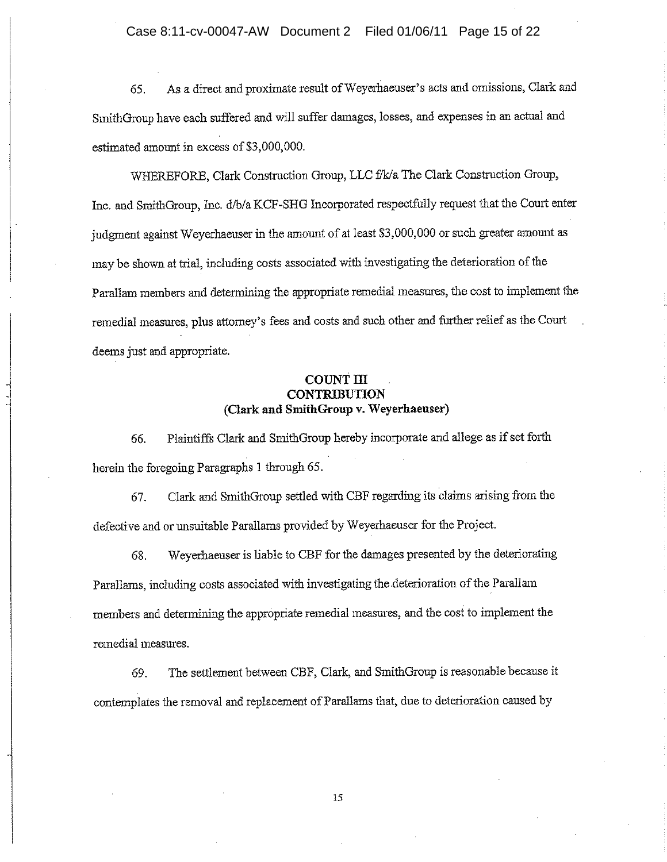As a direct and proximate result of Weyerhaeuser's acts and omissions, Clark and 65. SmithGroup have each suffered and will suffer damages, losses, and expenses in an actual and estimated amount in excess of \$3,000,000.

WHEREFORE, Clark Construction Group, LLC f/k/a The Clark Construction Group, Inc. and SmithGroup, Inc. d/b/a KCF-SHG Incorporated respectfully request that the Court enter judgment against Weyerhaeuser in the amount of at least \$3,000,000 or such greater amount as may be shown at trial, including costs associated with investigating the deterioration of the Parallam members and determining the appropriate remedial measures, the cost to implement the remedial measures, plus attorney's fees and costs and such other and further relief as the Court deems just and appropriate.

# **COUNT III CONTRIBUTION** (Clark and SmithGroup v. Weyerhaeuser)

Plaintiffs Clark and SmithGroup hereby incorporate and allege as if set forth 66. herein the foregoing Paragraphs 1 through 65.

Clark and SmithGroup settled with CBF regarding its claims arising from the 67. defective and or unsuitable Parallams provided by Weyerhaeuser for the Project.

Weyerhaeuser is liable to CBF for the damages presented by the deteriorating 68. Parallams, including costs associated with investigating the deterioration of the Parallam members and determining the appropriate remedial measures, and the cost to implement the remedial measures.

The settlement between CBF, Clark, and SmithGroup is reasonable because it 69. contemplates the removal and replacement of Parallams that, due to deterioration caused by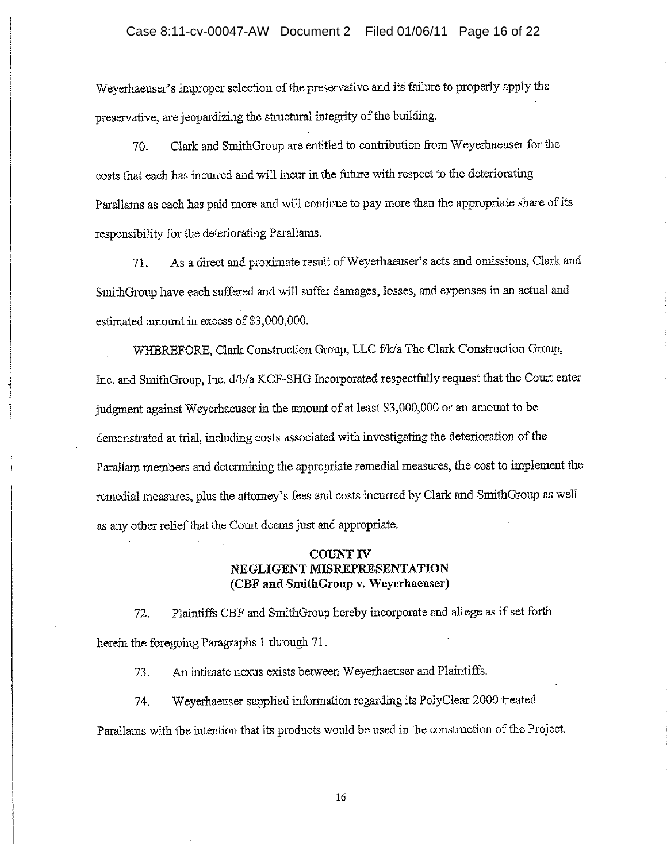Weyerhaeuser's improper selection of the preservative and its failure to properly apply the preservative, are jeopardizing the structural integrity of the building.

Clark and SmithGroup are entitled to contribution from Weyerhaeuser for the 70. costs that each has incurred and will incur in the future with respect to the deteriorating Parallams as each has paid more and will continue to pay more than the appropriate share of its responsibility for the deteriorating Parallams.

As a direct and proximate result of Weyerhaeuser's acts and omissions, Clark and 71. SmithGroup have each suffered and will suffer damages, losses, and expenses in an actual and estimated amount in excess of \$3,000,000.

WHEREFORE, Clark Construction Group, LLC f/k/a The Clark Construction Group, Inc. and SmithGroup, Inc. d/b/a KCF-SHG Incorporated respectfully request that the Court enter judgment against Weyerhaeuser in the amount of at least \$3,000,000 or an amount to be demonstrated at trial, including costs associated with investigating the deterioration of the Parallam members and determining the appropriate remedial measures, the cost to implement the remedial measures, plus the attorney's fees and costs incurred by Clark and SmithGroup as well as any other relief that the Court deems just and appropriate.

### **COUNT IV** NEGLIGENT MISREPRESENTATION (CBF and SmithGroup v. Weyerhaeuser)

Plaintiffs CBF and SmithGroup hereby incorporate and allege as if set forth 72. herein the foregoing Paragraphs 1 through 71.

An intimate nexus exists between Weyerhaeuser and Plaintiffs. 73.

Weyerhaeuser supplied information regarding its PolyClear 2000 treated 74. Parallams with the intention that its products would be used in the construction of the Project.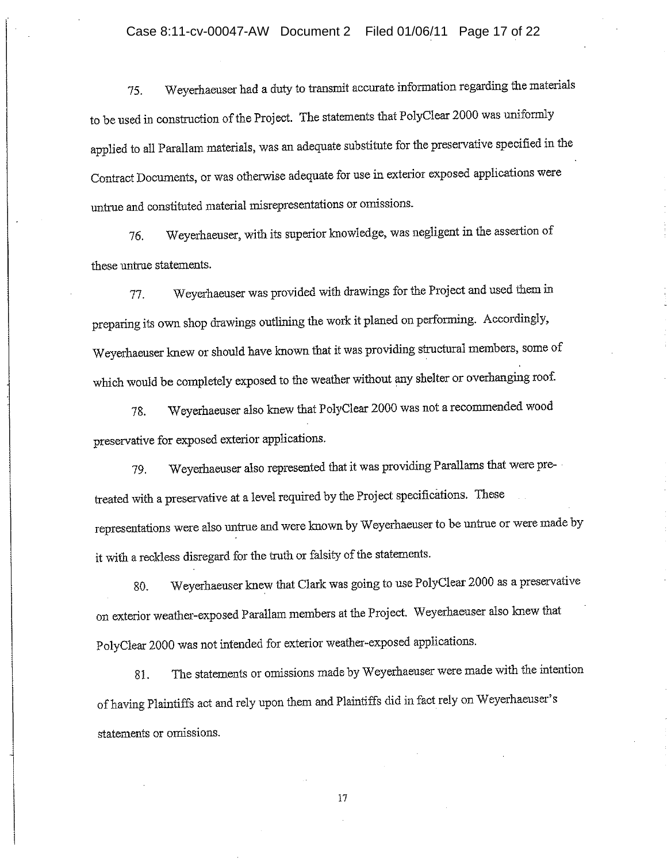Weyerhaeuser had a duty to transmit accurate information regarding the materials 75. to be used in construction of the Project. The statements that PolyClear 2000 was uniformly applied to all Parallam materials, was an adequate substitute for the preservative specified in the Contract Documents, or was otherwise adequate for use in exterior exposed applications were untrue and constituted material misrepresentations or omissions.

Weyerhaeuser, with its superior knowledge, was negligent in the assertion of 76. these untrue statements.

Weyerhaeuser was provided with drawings for the Project and used them in 77. preparing its own shop drawings outlining the work it planed on performing. Accordingly, Weyerhaeuser knew or should have known that it was providing structural members, some of which would be completely exposed to the weather without any shelter or overhanging roof.

Weyerhaeuser also knew that PolyClear 2000 was not a recommended wood 78. preservative for exposed exterior applications.

Weyerhaeuser also represented that it was providing Parallams that were pre-79. treated with a preservative at a level required by the Project specifications. These representations were also untrue and were known by Weyerhaeuser to be untrue or were made by it with a reckless disregard for the truth or falsity of the statements.

Weyerhaeuser knew that Clark was going to use PolyClear 2000 as a preservative 80. on exterior weather-exposed Parallam members at the Project. Weyerhaeuser also knew that PolyClear 2000 was not intended for exterior weather-exposed applications.

The statements or omissions made by Weyerhaeuser were made with the intention 81. of having Plaintiffs act and rely upon them and Plaintiffs did in fact rely on Weyerhaeuser's statements or omissions.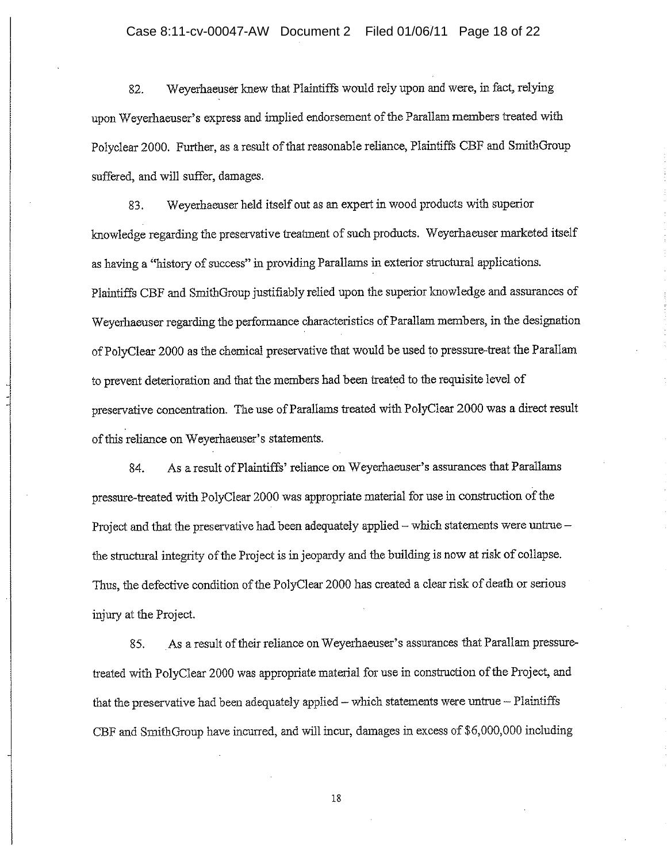Weverhaeuser knew that Plaintiffs would rely upon and were, in fact, relying 82. upon Weyerhaeuser's express and implied endorsement of the Parallam members treated with Polyclear 2000. Further, as a result of that reasonable reliance, Plaintiffs CBF and SmithGroup suffered, and will suffer, damages.

Weyerhaeuser held itself out as an expert in wood products with superior 83. knowledge regarding the preservative treatment of such products. Weyerhaeuser marketed itself as having a "history of success" in providing Parallams in exterior structural applications. Plaintiffs CBF and SmithGroup justifiably relied upon the superior knowledge and assurances of Weyerhaeuser regarding the performance characteristics of Parallam members, in the designation of PolyClear 2000 as the chemical preservative that would be used to pressure-treat the Parallam to prevent deterioration and that the members had been treated to the requisite level of preservative concentration. The use of Parallams treated with PolyClear 2000 was a direct result of this reliance on Weyerhaeuser's statements.

As a result of Plaintiffs' reliance on Weyerhaeuser's assurances that Parallams 84. pressure-treated with PolyClear 2000 was appropriate material for use in construction of the Project and that the preservative had been adequately applied - which statements were untrue the structural integrity of the Project is in jeopardy and the building is now at risk of collapse. Thus, the defective condition of the PolyClear 2000 has created a clear risk of death or serious injury at the Project.

As a result of their reliance on Weyerhaeuser's assurances that Parallam pressure-85. treated with PolyClear 2000 was appropriate material for use in construction of the Project, and that the preservative had been adequately applied - which statements were untrue - Plaintiffs CBF and SmithGroup have incurred, and will incur, damages in excess of \$6,000,000 including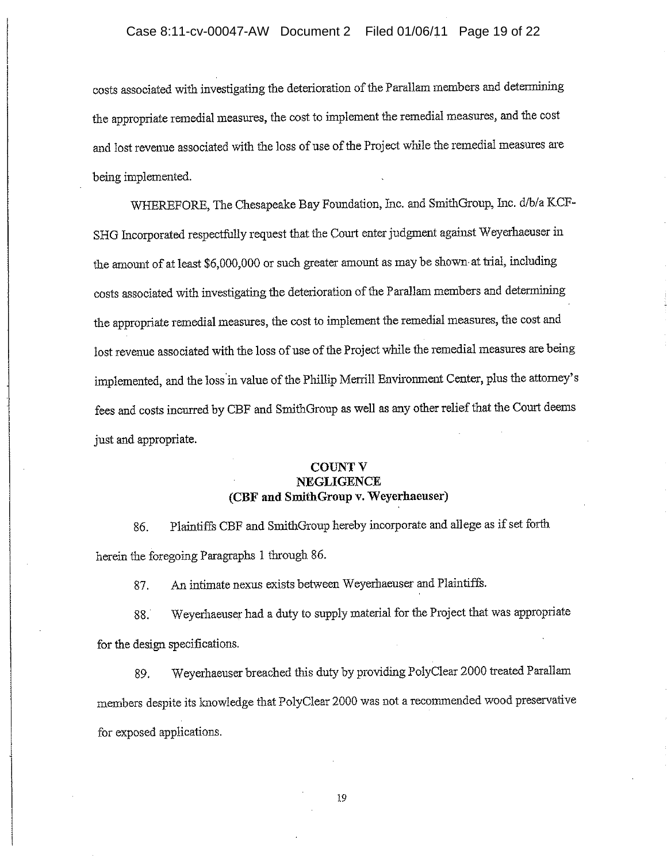costs associated with investigating the deterioration of the Parallam members and determining the appropriate remedial measures, the cost to implement the remedial measures, and the cost and lost revenue associated with the loss of use of the Project while the remedial measures are being implemented.

WHEREFORE, The Chesapeake Bay Foundation, Inc. and SmithGroup, Inc. d/b/a KCF-SHG Incorporated respectfully request that the Court enter judgment against Weyerhaeuser in the amount of at least \$6,000,000 or such greater amount as may be shown at trial, including costs associated with investigating the deterioration of the Parallam members and determining the appropriate remedial measures, the cost to implement the remedial measures, the cost and lost revenue associated with the loss of use of the Project while the remedial measures are being implemented, and the loss in value of the Phillip Merrill Environment Center, plus the attorney's fees and costs incurred by CBF and SmithGroup as well as any other relief that the Court deems just and appropriate.

# **COUNT V NEGLIGENCE** (CBF and SmithGroup v. Weyerhaeuser)

Plaintiffs CBF and SmithGroup hereby incorporate and allege as if set forth 86. herein the foregoing Paragraphs 1 through 86.

An intimate nexus exists between Weyerhaeuser and Plaintiffs. 87.

Weyerhaeuser had a duty to supply material for the Project that was appropriate 88. for the design specifications.

Weverhaeuser breached this duty by providing PolyClear 2000 treated Parallam 89. members despite its knowledge that PolyClear 2000 was not a recommended wood preservative for exposed applications.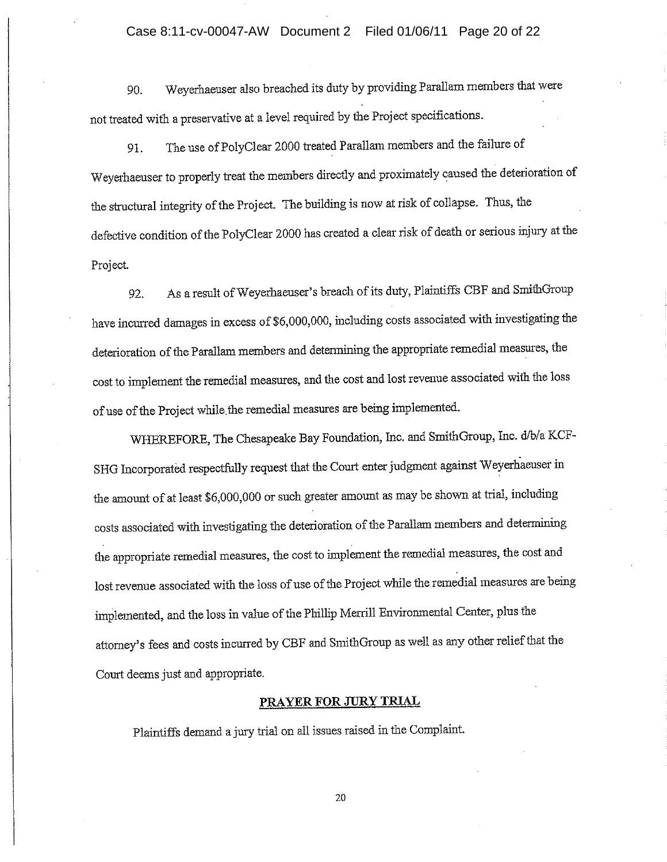### Case 8:11-cv-00047-AW Document 2 Filed 01/06/11 Page 20 of 22

Weyerhaeuser also breached its duty by providing Parallam members that were 90. not treated with a preservative at a level required by the Project specifications.

The use of PolyClear 2000 treated Parallam members and the failure of 91. Weyerhaeuser to properly treat the members directly and proximately caused the deterioration of the structural integrity of the Project. The building is now at risk of collapse. Thus, the defective condition of the PolyClear 2000 has created a clear risk of death or serious injury at the Project.

As a result of Weyerhaeuser's breach of its duty, Plaintiffs CBF and SmithGroup 92. have incurred damages in excess of \$6,000,000, including costs associated with investigating the deterioration of the Parallam members and determining the appropriate remedial measures, the cost to implement the remedial measures, and the cost and lost revenue associated with the loss of use of the Project while the remedial measures are being implemented.

WHEREFORE, The Chesapeake Bay Foundation, Inc. and SmithGroup, Inc. d/b/a KCF-SHG Incorporated respectfully request that the Court enter judgment against Weyerhaeuser in the amount of at least \$6,000,000 or such greater amount as may be shown at trial, including costs associated with investigating the deterioration of the Parallam members and determining the appropriate remedial measures, the cost to implement the remedial measures, the cost and lost revenue associated with the loss of use of the Project while the remedial measures are being implemented, and the loss in value of the Phillip Merrill Environmental Center, plus the attorney's fees and costs incurred by CBF and SmithGroup as well as any other relief that the Court deems just and appropriate.

### PRAYER FOR JURY TRIAL

Plaintiffs demand a jury trial on all issues raised in the Complaint.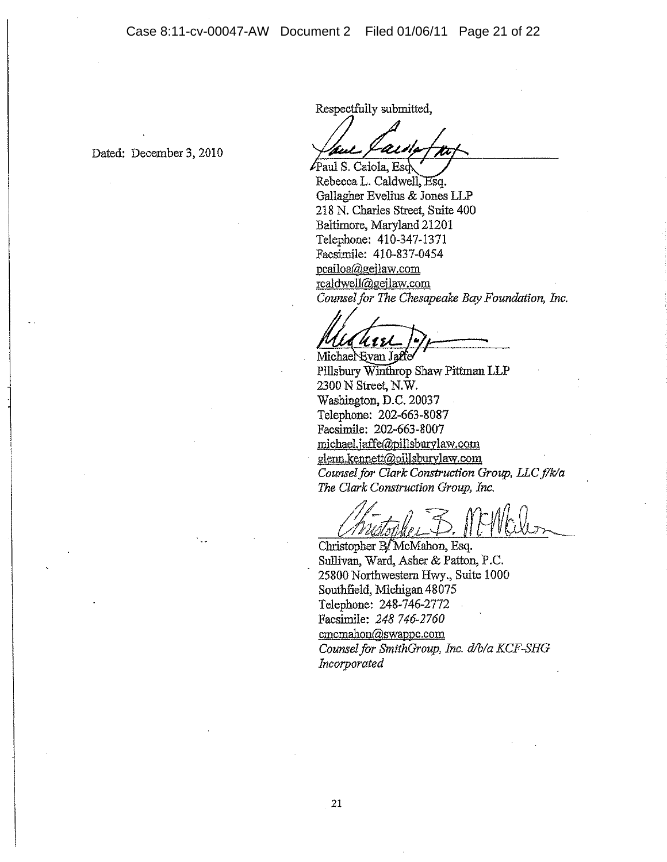Dated: December 3, 2010

Respectfully submitted,

Paul S. Caiola, Esc

Rebecca L. Caldwell, Esq. Gallagher Evelius & Jones LLP 218 N. Charles Street, Suite 400 Baltimore, Maryland 21201 Telephone: 410-347-1371 Facsimile: 410-837-0454 pcailoa@gejlaw.com rcaldwell@geilaw.com Counsel for The Chesapeake Bay Foundation, Inc.

 $1111$ 

Michael Evan Jaffe Pillsbury Winthrop Shaw Pittman LLP 2300 N Street, N.W. Washington, D.C. 20037 Telephone: 202-663-8087 Facsimile: 202-663-8007 michael.jaffe@pillsburylaw.com glenn.kennett@pillsburylaw.com Counsel for Clark Construction Group, LLC f/k/a The Clark Construction Group, Inc.

Christopher B/McMahon, Esq. Sullivan, Ward, Asher & Patton, P.C. 25800 Northwestern Hwy., Suite 1000 Southfield, Michigan 48075 Telephone: 248-746-2772 Facsimile: 248 746-2760 cmcmahon@swappc.com Counsel for SmithGroup, Inc. d/b/a KCF-SHG Incorporated